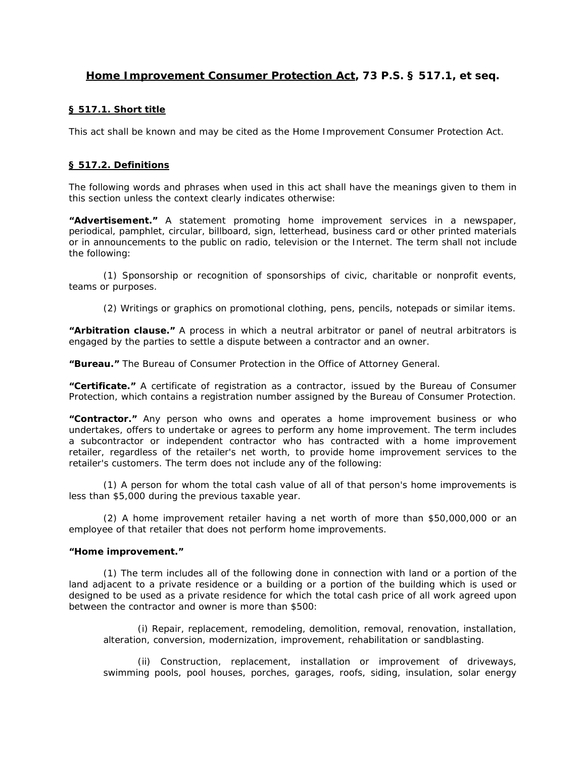# **Home Improvement Consumer Protection Act, 73 P.S. § 517.1,** *et seq***.**

## **§ 517.1. [Short title](http://web2.westlaw.com/find/default.wl?tc=-1&docname=LK(%22PS73S517.1%22)&rp=%2ffind%2fdefault.wl&sv=Split&rs=WLW11.10&db=PA-ST-ANN&tf=-1&findtype=l&fn=_top&mt=79&vr=2.0&pbc=2385BF34&ordoc=N337DBFB0C7B511DD96CB9AA31E294984)**

This act shall be known and may be cited as the Home Improvement Consumer Protection Act.

## **[§ 517.2. Definitions](http://web2.westlaw.com/find/default.wl?tc=-1&docname=LK(%22PS73S517.2%22)&rp=%2ffind%2fdefault.wl&sv=Split&rs=WLW11.10&db=PA-ST-ANN&tf=-1&findtype=l&fn=_top&mt=79&vr=2.0&pbc=2385BF34&ordoc=N337DBFB0C7B511DD96CB9AA31E294984)**

The following words and phrases when used in this act shall have the meanings given to them in this section unless the context clearly indicates otherwise:

**"Advertisement."** A statement promoting home improvement services in a newspaper, periodical, pamphlet, circular, billboard, sign, letterhead, business card or other printed materials or in announcements to the public on radio, television or the Internet. The term shall not include the following:

(1) Sponsorship or recognition of sponsorships of civic, charitable or nonprofit events, teams or purposes.

(2) Writings or graphics on promotional clothing, pens, pencils, notepads or similar items.

**"Arbitration clause."** A process in which a neutral arbitrator or panel of neutral arbitrators is engaged by the parties to settle a dispute between a contractor and an owner.

**"Bureau."** The Bureau of Consumer Protection in the Office of Attorney General.

**"Certificate."** A certificate of registration as a contractor, issued by the Bureau of Consumer Protection, which contains a registration number assigned by the Bureau of Consumer Protection.

**"Contractor."** Any person who owns and operates a home improvement business or who undertakes, offers to undertake or agrees to perform any home improvement. The term includes a subcontractor or independent contractor who has contracted with a home improvement retailer, regardless of the retailer's net worth, to provide home improvement services to the retailer's customers. The term does not include any of the following:

(1) A person for whom the total cash value of all of that person's home improvements is less than \$5,000 during the previous taxable year.

(2) A home improvement retailer having a net worth of more than \$50,000,000 or an employee of that retailer that does not perform home improvements.

#### **"Home improvement."**

(1) The term includes all of the following done in connection with land or a portion of the land adjacent to a private residence or a building or a portion of the building which is used or designed to be used as a private residence for which the total cash price of all work agreed upon between the contractor and owner is more than \$500:

(i) Repair, replacement, remodeling, demolition, removal, renovation, installation, alteration, conversion, modernization, improvement, rehabilitation or sandblasting.

(ii) Construction, replacement, installation or improvement of driveways, swimming pools, pool houses, porches, garages, roofs, siding, insulation, solar energy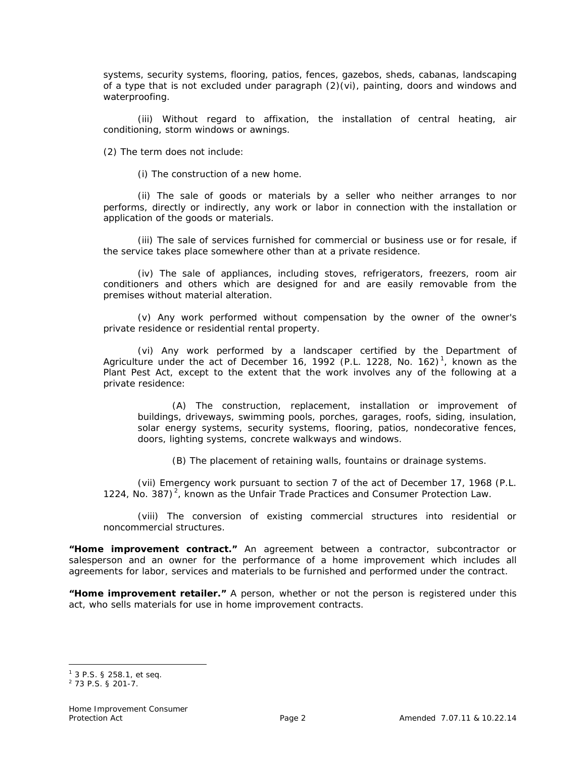systems, security systems, flooring, patios, fences, gazebos, sheds, cabanas, landscaping of a type that is not excluded under paragraph (2)(vi), painting, doors and windows and waterproofing.

(iii) Without regard to affixation, the installation of central heating, air conditioning, storm windows or awnings.

(2) The term does not include:

(i) The construction of a new home.

(ii) The sale of goods or materials by a seller who neither arranges to nor performs, directly or indirectly, any work or labor in connection with the installation or application of the goods or materials.

(iii) The sale of services furnished for commercial or business use or for resale, if the service takes place somewhere other than at a private residence.

(iv) The sale of appliances, including stoves, refrigerators, freezers, room air conditioners and others which are designed for and are easily removable from the premises without material alteration.

(v) Any work performed without compensation by the owner of the owner's private residence or residential rental property.

(vi) Any work performed by a landscaper certified by the Department of Agriculture under the act of December 16, 1992 (P.L. 1228, No. 162)<sup>1</sup>, known as the Plant Pest Act, except to the extent that the work involves any of the following at a private residence:

(A) The construction, replacement, installation or improvement of buildings, driveways, swimming pools, porches, garages, roofs, siding, insulation, solar energy systems, security systems, flooring, patios, nondecorative fences, doors, lighting systems, concrete walkways and windows.

(B) The placement of retaining walls, fountains or drainage systems.

(vii) Emergency work pursuant to section 7 of the act of December 17, 1968 (P.L. 1224, No. 387) $^2$ , known as the Unfair Trade Practices and Consumer Protection Law.

(viii) The conversion of existing commercial structures into residential or noncommercial structures.

**"Home improvement contract."** An agreement between a contractor, subcontractor or salesperson and an owner for the performance of a home improvement which includes all agreements for labor, services and materials to be furnished and performed under the contract.

**"Home improvement retailer."** A person, whether or not the person is registered under this act, who sells materials for use in home improvement contracts.

<sup>1</sup> 3 P.S. § 258.1, *et seq*.

<sup>2</sup> 73 P.S. § 201-7.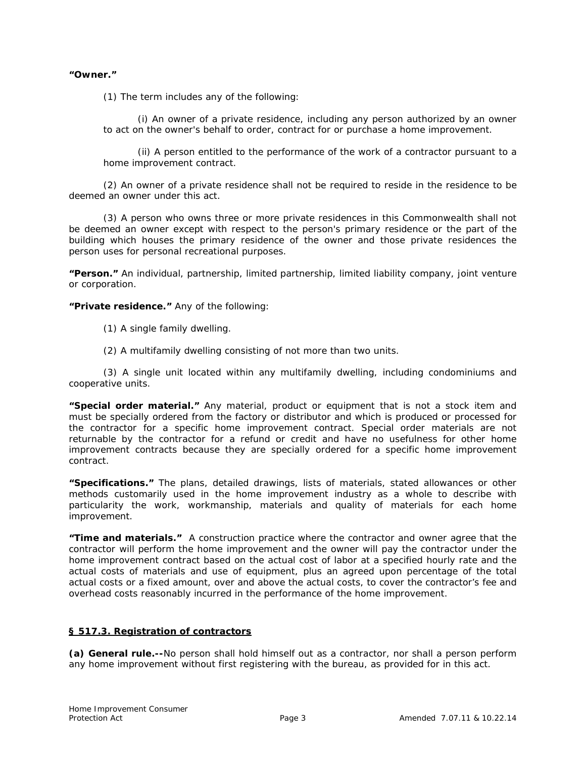#### **"Owner."**

(1) The term includes any of the following:

(i) An owner of a private residence, including any person authorized by an owner to act on the owner's behalf to order, contract for or purchase a home improvement.

(ii) A person entitled to the performance of the work of a contractor pursuant to a home improvement contract.

(2) An owner of a private residence shall not be required to reside in the residence to be deemed an owner under this act.

(3) A person who owns three or more private residences in this Commonwealth shall not be deemed an owner except with respect to the person's primary residence or the part of the building which houses the primary residence of the owner and those private residences the person uses for personal recreational purposes.

**"Person."** An individual, partnership, limited partnership, limited liability company, joint venture or corporation.

**"Private residence."** Any of the following:

- (1) A single family dwelling.
- (2) A multifamily dwelling consisting of not more than two units.

(3) A single unit located within any multifamily dwelling, including condominiums and cooperative units.

**"Special order material."** Any material, product or equipment that is not a stock item and must be specially ordered from the factory or distributor and which is produced or processed for the contractor for a specific home improvement contract. Special order materials are not returnable by the contractor for a refund or credit and have no usefulness for other home improvement contracts because they are specially ordered for a specific home improvement contract.

**"Specifications."** The plans, detailed drawings, lists of materials, stated allowances or other methods customarily used in the home improvement industry as a whole to describe with particularity the work, workmanship, materials and quality of materials for each home improvement.

**"Time and materials."** A construction practice where the contractor and owner agree that the contractor will perform the home improvement and the owner will pay the contractor under the home improvement contract based on the actual cost of labor at a specified hourly rate and the actual costs of materials and use of equipment, plus an agreed upon percentage of the total actual costs or a fixed amount, over and above the actual costs, to cover the contractor's fee and overhead costs reasonably incurred in the performance of the home improvement.

## **[§ 517.3. Registration of contractors](http://web2.westlaw.com/find/default.wl?tc=-1&docname=LK(%22PS73S517.3%22)&rp=%2ffind%2fdefault.wl&sv=Split&rs=WLW11.10&db=PA-ST-ANN&tf=-1&findtype=l&fn=_top&mt=79&vr=2.0&pbc=2385BF34&ordoc=N337DBFB0C7B511DD96CB9AA31E294984)**

**(a) General rule.--**No person shall hold himself out as a contractor, nor shall a person perform any home improvement without first registering with the bureau, as provided for in this act.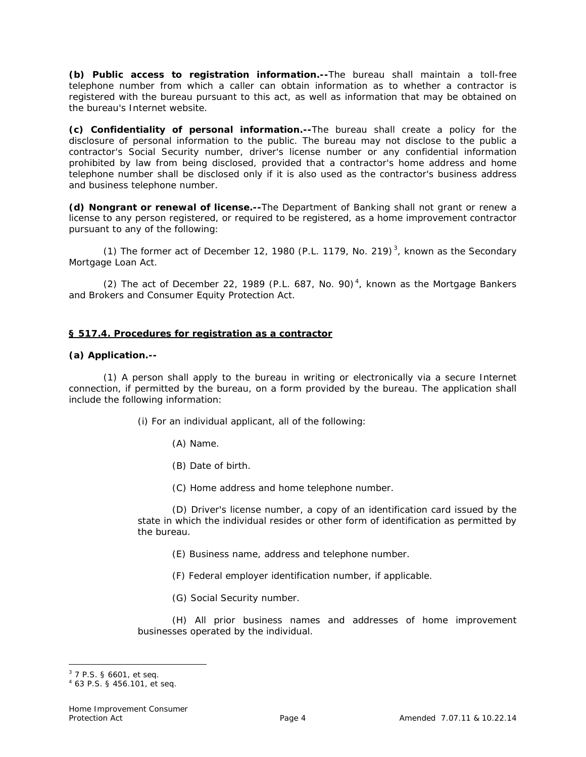**(b) Public access to registration information.--**The bureau shall maintain a toll-free telephone number from which a caller can obtain information as to whether a contractor is registered with the bureau pursuant to this act, as well as information that may be obtained on the bureau's Internet website.

**(c) Confidentiality of personal information.--**The bureau shall create a policy for the disclosure of personal information to the public. The bureau may not disclose to the public a contractor's Social Security number, driver's license number or any confidential information prohibited by law from being disclosed, provided that a contractor's home address and home telephone number shall be disclosed only if it is also used as the contractor's business address and business telephone number.

**(d) Nongrant or renewal of license.--**The Department of Banking shall not grant or renew a license to any person registered, or required to be registered, as a home improvement contractor pursuant to any of the following:

(1) The former act of December 12, 1980 (P.L. 1179, No. 219)<sup>3</sup>, known as the Secondary Mortgage Loan Act.

(2) The act of December 22, 1989 (P.L. 687, No. 90)<sup>4</sup>, known as the Mortgage Bankers and Brokers and Consumer Equity Protection Act.

## **[§ 517.4. Procedures for registration as a contractor](http://web2.westlaw.com/find/default.wl?tc=-1&docname=LK(%22PS73S517.4%22)&rp=%2ffind%2fdefault.wl&sv=Split&rs=WLW11.10&db=PA-ST-ANN&tf=-1&findtype=l&fn=_top&mt=79&vr=2.0&pbc=2385BF34&ordoc=N337DBFB0C7B511DD96CB9AA31E294984)**

#### **(a) Application.--**

(1) A person shall apply to the bureau in writing or electronically via a secure Internet connection, if permitted by the bureau, on a form provided by the bureau. The application shall include the following information:

(i) For an individual applicant, all of the following:

(A) Name.

(B) Date of birth.

(C) Home address and home telephone number.

(D) Driver's license number, a copy of an identification card issued by the state in which the individual resides or other form of identification as permitted by the bureau.

- (E) Business name, address and telephone number.
- (F) Federal employer identification number, if applicable.
- (G) Social Security number.

(H) All prior business names and addresses of home improvement businesses operated by the individual.

<sup>3</sup> 7 P.S. § 6601, *et seq*.

<sup>4</sup> 63 P.S. § 456.101, *et seq*.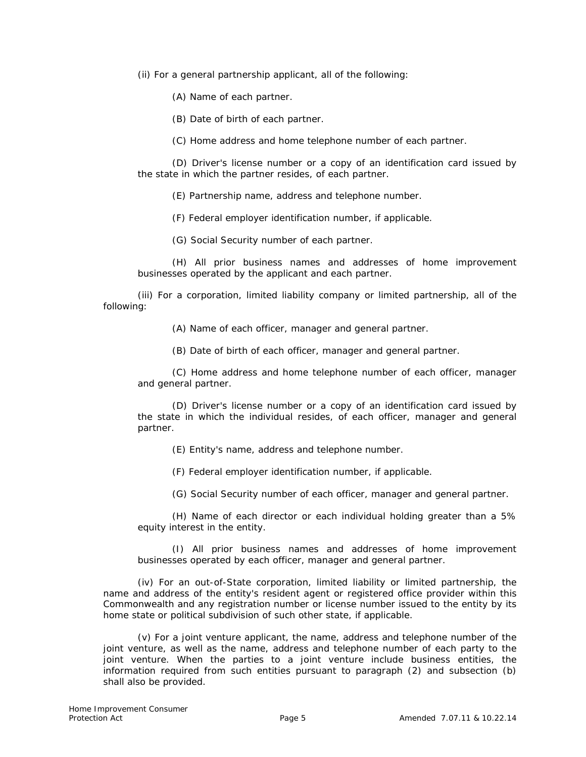(ii) For a general partnership applicant, all of the following:

(A) Name of each partner.

(B) Date of birth of each partner.

(C) Home address and home telephone number of each partner.

(D) Driver's license number or a copy of an identification card issued by the state in which the partner resides, of each partner.

(E) Partnership name, address and telephone number.

(F) Federal employer identification number, if applicable.

(G) Social Security number of each partner.

(H) All prior business names and addresses of home improvement businesses operated by the applicant and each partner.

(iii) For a corporation, limited liability company or limited partnership, all of the following:

(A) Name of each officer, manager and general partner.

(B) Date of birth of each officer, manager and general partner.

(C) Home address and home telephone number of each officer, manager and general partner.

(D) Driver's license number or a copy of an identification card issued by the state in which the individual resides, of each officer, manager and general partner.

(E) Entity's name, address and telephone number.

(F) Federal employer identification number, if applicable.

(G) Social Security number of each officer, manager and general partner.

(H) Name of each director or each individual holding greater than a 5% equity interest in the entity.

(I) All prior business names and addresses of home improvement businesses operated by each officer, manager and general partner.

(iv) For an out-of-State corporation, limited liability or limited partnership, the name and address of the entity's resident agent or registered office provider within this Commonwealth and any registration number or license number issued to the entity by its home state or political subdivision of such other state, if applicable.

(v) For a joint venture applicant, the name, address and telephone number of the joint venture, as well as the name, address and telephone number of each party to the joint venture. When the parties to a joint venture include business entities, the information required from such entities pursuant to paragraph (2) and subsection (b) shall also be provided.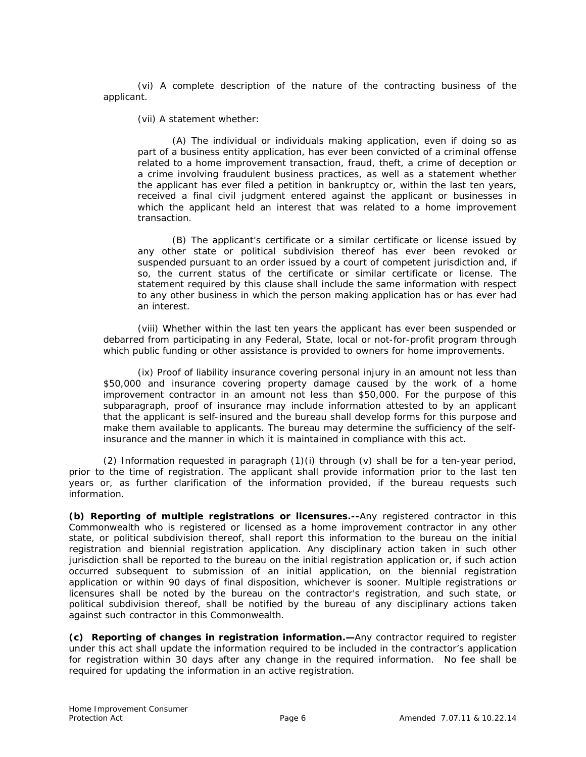(vi) A complete description of the nature of the contracting business of the applicant.

(vii) A statement whether:

(A) The individual or individuals making application, even if doing so as part of a business entity application, has ever been convicted of a criminal offense related to a home improvement transaction, fraud, theft, a crime of deception or a crime involving fraudulent business practices, as well as a statement whether the applicant has ever filed a petition in bankruptcy or, within the last ten years, received a final civil judgment entered against the applicant or businesses in which the applicant held an interest that was related to a home improvement transaction.

(B) The applicant's certificate or a similar certificate or license issued by any other state or political subdivision thereof has ever been revoked or suspended pursuant to an order issued by a court of competent jurisdiction and, if so, the current status of the certificate or similar certificate or license. The statement required by this clause shall include the same information with respect to any other business in which the person making application has or has ever had an interest.

(viii) Whether within the last ten years the applicant has ever been suspended or debarred from participating in any Federal, State, local or not-for-profit program through which public funding or other assistance is provided to owners for home improvements.

(ix) Proof of liability insurance covering personal injury in an amount not less than \$50,000 and insurance covering property damage caused by the work of a home improvement contractor in an amount not less than \$50,000. For the purpose of this subparagraph, proof of insurance may include information attested to by an applicant that the applicant is self-insured and the bureau shall develop forms for this purpose and make them available to applicants. The bureau may determine the sufficiency of the selfinsurance and the manner in which it is maintained in compliance with this act.

(2) Information requested in paragraph (1)(i) through (v) shall be for a ten-year period, prior to the time of registration. The applicant shall provide information prior to the last ten years or, as further clarification of the information provided, if the bureau requests such information.

**(b) Reporting of multiple registrations or licensures.--**Any registered contractor in this Commonwealth who is registered or licensed as a home improvement contractor in any other state, or political subdivision thereof, shall report this information to the bureau on the initial registration and biennial registration application. Any disciplinary action taken in such other jurisdiction shall be reported to the bureau on the initial registration application or, if such action occurred subsequent to submission of an initial application, on the biennial registration application or within 90 days of final disposition, whichever is sooner. Multiple registrations or licensures shall be noted by the bureau on the contractor's registration, and such state, or political subdivision thereof, shall be notified by the bureau of any disciplinary actions taken against such contractor in this Commonwealth.

**(c) Reporting of changes in registration information.—**Any contractor required to register under this act shall update the information required to be included in the contractor's application for registration within 30 days after any change in the required information. No fee shall be required for updating the information in an active registration.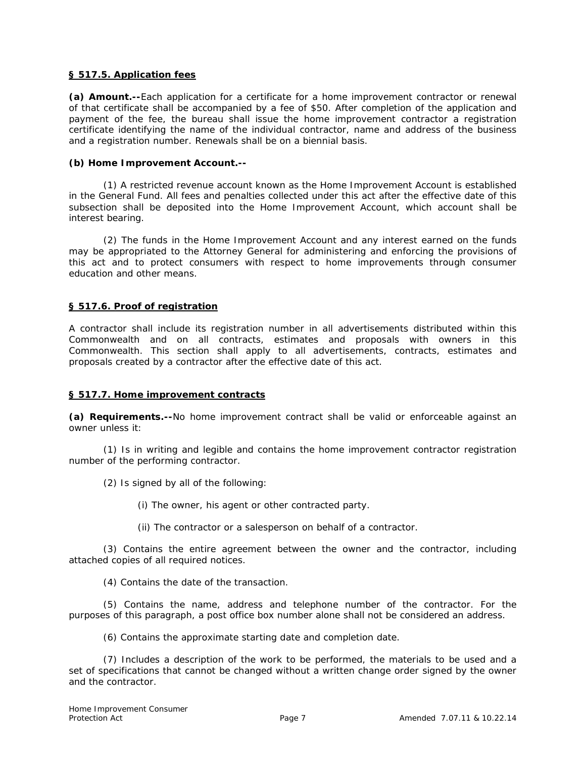## **[§ 517.5. Application fees](http://web2.westlaw.com/find/default.wl?tc=-1&docname=LK(%22PS73S517.5%22)&rp=%2ffind%2fdefault.wl&sv=Split&rs=WLW11.10&db=PA-ST-ANN&tf=-1&findtype=l&fn=_top&mt=79&vr=2.0&pbc=2385BF34&ordoc=N337DBFB0C7B511DD96CB9AA31E294984)**

**(a) Amount.--**Each application for a certificate for a home improvement contractor or renewal of that certificate shall be accompanied by a fee of \$50. After completion of the application and payment of the fee, the bureau shall issue the home improvement contractor a registration certificate identifying the name of the individual contractor, name and address of the business and a registration number. Renewals shall be on a biennial basis.

## **(b) Home Improvement Account.--**

(1) A restricted revenue account known as the Home Improvement Account is established in the General Fund. All fees and penalties collected under this act after the effective date of this subsection shall be deposited into the Home Improvement Account, which account shall be interest bearing.

(2) The funds in the Home Improvement Account and any interest earned on the funds may be appropriated to the Attorney General for administering and enforcing the provisions of this act and to protect consumers with respect to home improvements through consumer education and other means.

## **[§ 517.6. Proof of registration](http://web2.westlaw.com/find/default.wl?tc=-1&docname=LK(%22PS73S517.6%22)&rp=%2ffind%2fdefault.wl&sv=Split&rs=WLW11.10&db=PA-ST-ANN&tf=-1&findtype=l&fn=_top&mt=79&vr=2.0&pbc=2385BF34&ordoc=N337DBFB0C7B511DD96CB9AA31E294984)**

A contractor shall include its registration number in all advertisements distributed within this Commonwealth and on all contracts, estimates and proposals with owners in this Commonwealth. This section shall apply to all advertisements, contracts, estimates and proposals created by a contractor after the effective date of this act.

#### **[§ 517.7. Home improvement contracts](http://web2.westlaw.com/find/default.wl?tc=-1&docname=LK(%22PS73S517.7%22)&rp=%2ffind%2fdefault.wl&sv=Split&rs=WLW11.10&db=PA-ST-ANN&tf=-1&findtype=l&fn=_top&mt=79&vr=2.0&pbc=2385BF34&ordoc=N337DBFB0C7B511DD96CB9AA31E294984)**

**(a) Requirements.--**No home improvement contract shall be valid or enforceable against an owner unless it:

(1) Is in writing and legible and contains the home improvement contractor registration number of the performing contractor.

(2) Is signed by all of the following:

(i) The owner, his agent or other contracted party.

(ii) The contractor or a salesperson on behalf of a contractor.

(3) Contains the entire agreement between the owner and the contractor, including attached copies of all required notices.

(4) Contains the date of the transaction.

(5) Contains the name, address and telephone number of the contractor. For the purposes of this paragraph, a post office box number alone shall not be considered an address.

(6) Contains the approximate starting date and completion date.

(7) Includes a description of the work to be performed, the materials to be used and a set of specifications that cannot be changed without a written change order signed by the owner and the contractor.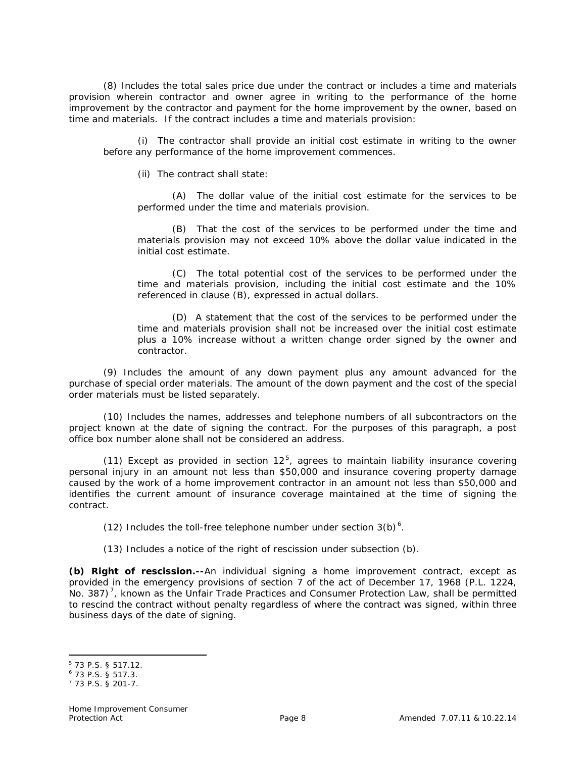(8) Includes the total sales price due under the contract or includes a time and materials provision wherein contractor and owner agree in writing to the performance of the home improvement by the contractor and payment for the home improvement by the owner, based on time and materials. If the contract includes a time and materials provision:

(i) The contractor shall provide an initial cost estimate in writing to the owner before any performance of the home improvement commences.

(ii) The contract shall state:

(A) The dollar value of the initial cost estimate for the services to be performed under the time and materials provision.

(B) That the cost of the services to be performed under the time and materials provision may not exceed 10% above the dollar value indicated in the initial cost estimate.

(C) The total potential cost of the services to be performed under the time and materials provision, including the initial cost estimate and the 10% referenced in clause (B), expressed in actual dollars.

(D) A statement that the cost of the services to be performed under the time and materials provision shall not be increased over the initial cost estimate plus a 10% increase without a written change order signed by the owner and contractor.

(9) Includes the amount of any down payment plus any amount advanced for the purchase of special order materials. The amount of the down payment and the cost of the special order materials must be listed separately.

(10) Includes the names, addresses and telephone numbers of all subcontractors on the project known at the date of signing the contract. For the purposes of this paragraph, a post office box number alone shall not be considered an address.

(11) Except as provided in section  $12^5$ , agrees to maintain liability insurance covering personal injury in an amount not less than \$50,000 and insurance covering property damage caused by the work of a home improvement contractor in an amount not less than \$50,000 and identifies the current amount of insurance coverage maintained at the time of signing the contract.

(12) Includes the toll-free telephone number under section  $3(b)^6$ .

(13) Includes a notice of the right of rescission under subsection (b).

**(b) Right of rescission.--**An individual signing a home improvement contract, except as provided in the emergency provisions of section 7 of the act of December 17, 1968 (P.L. 1224, No. 387)<sup>7</sup>, known as the Unfair Trade Practices and Consumer Protection Law, shall be permitted to rescind the contract without penalty regardless of where the contract was signed, within three business days of the date of signing.

l

<sup>5</sup> 73 P.S. § 517.12.

<sup>6</sup> 73 P.S. § 517.3.

<sup>7</sup> 73 P.S. § 201-7.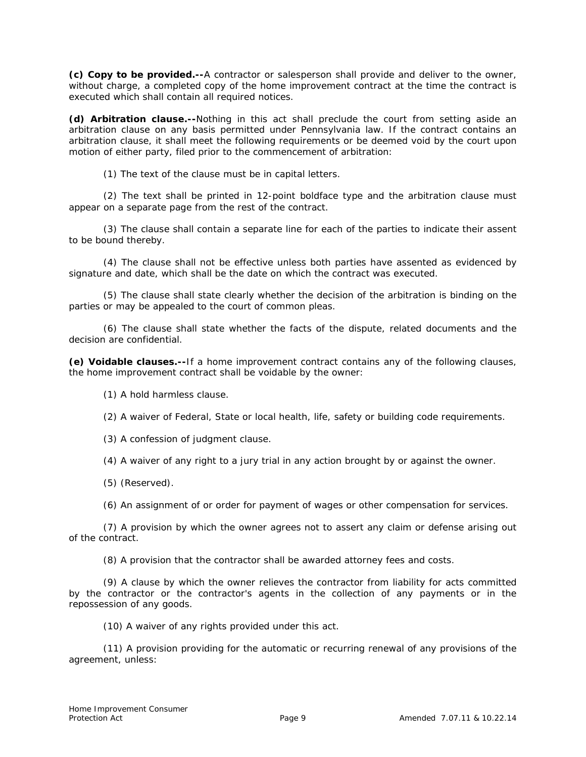**(c) Copy to be provided.--**A contractor or salesperson shall provide and deliver to the owner, without charge, a completed copy of the home improvement contract at the time the contract is executed which shall contain all required notices.

**(d) Arbitration clause.--**Nothing in this act shall preclude the court from setting aside an arbitration clause on any basis permitted under Pennsylvania law. If the contract contains an arbitration clause, it shall meet the following requirements or be deemed void by the court upon motion of either party, filed prior to the commencement of arbitration:

(1) The text of the clause must be in capital letters.

(2) The text shall be printed in 12-point boldface type and the arbitration clause must appear on a separate page from the rest of the contract.

(3) The clause shall contain a separate line for each of the parties to indicate their assent to be bound thereby.

(4) The clause shall not be effective unless both parties have assented as evidenced by signature and date, which shall be the date on which the contract was executed.

(5) The clause shall state clearly whether the decision of the arbitration is binding on the parties or may be appealed to the court of common pleas.

(6) The clause shall state whether the facts of the dispute, related documents and the decision are confidential.

**(e) Voidable clauses.--**If a home improvement contract contains any of the following clauses, the home improvement contract shall be voidable by the owner:

(1) A hold harmless clause.

(2) A waiver of Federal, State or local health, life, safety or building code requirements.

(3) A confession of judgment clause.

(4) A waiver of any right to a jury trial in any action brought by or against the owner.

(5) (Reserved).

(6) An assignment of or order for payment of wages or other compensation for services.

(7) A provision by which the owner agrees not to assert any claim or defense arising out of the contract.

(8) A provision that the contractor shall be awarded attorney fees and costs.

(9) A clause by which the owner relieves the contractor from liability for acts committed by the contractor or the contractor's agents in the collection of any payments or in the repossession of any goods.

(10) A waiver of any rights provided under this act.

(11) A provision providing for the automatic or recurring renewal of any provisions of the agreement, unless: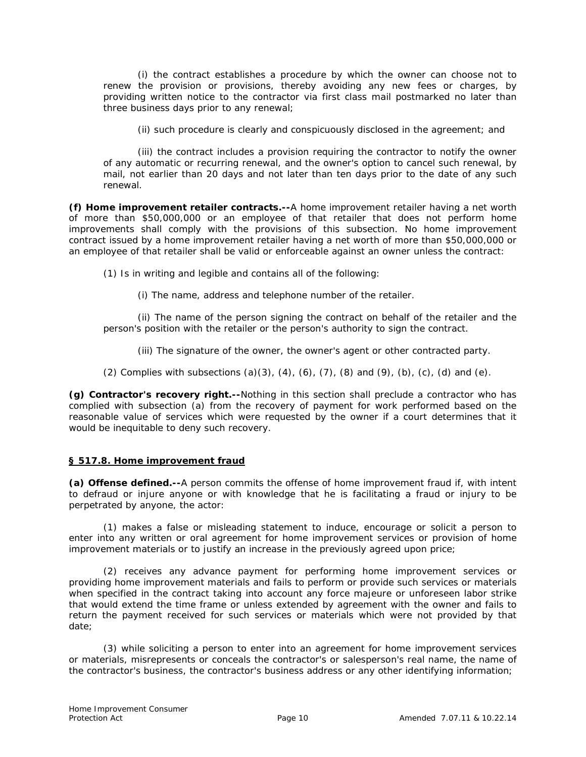(i) the contract establishes a procedure by which the owner can choose not to renew the provision or provisions, thereby avoiding any new fees or charges, by providing written notice to the contractor via first class mail postmarked no later than three business days prior to any renewal;

(ii) such procedure is clearly and conspicuously disclosed in the agreement; and

(iii) the contract includes a provision requiring the contractor to notify the owner of any automatic or recurring renewal, and the owner's option to cancel such renewal, by mail, not earlier than 20 days and not later than ten days prior to the date of any such renewal.

**(f) Home improvement retailer contracts.--**A home improvement retailer having a net worth of more than \$50,000,000 or an employee of that retailer that does not perform home improvements shall comply with the provisions of this subsection. No home improvement contract issued by a home improvement retailer having a net worth of more than \$50,000,000 or an employee of that retailer shall be valid or enforceable against an owner unless the contract:

(1) Is in writing and legible and contains all of the following:

(i) The name, address and telephone number of the retailer.

(ii) The name of the person signing the contract on behalf of the retailer and the person's position with the retailer or the person's authority to sign the contract.

(iii) The signature of the owner, the owner's agent or other contracted party.

(2) Complies with subsections (a)(3), (4), (6), (7), (8) and (9), (b), (c), (d) and (e).

**(g) Contractor's recovery right.--**Nothing in this section shall preclude a contractor who has complied with subsection (a) from the recovery of payment for work performed based on the reasonable value of services which were requested by the owner if a court determines that it would be inequitable to deny such recovery.

#### **[§ 517.8. Home improvement fraud](http://web2.westlaw.com/find/default.wl?tc=-1&docname=LK(%22PS73S517.8%22)&rp=%2ffind%2fdefault.wl&sv=Split&rs=WLW11.10&db=PA-ST-ANN&tf=-1&findtype=l&fn=_top&mt=79&vr=2.0&pbc=2385BF34&ordoc=N337DBFB0C7B511DD96CB9AA31E294984)**

**(a) Offense defined.--**A person commits the offense of home improvement fraud if, with intent to defraud or injure anyone or with knowledge that he is facilitating a fraud or injury to be perpetrated by anyone, the actor:

(1) makes a false or misleading statement to induce, encourage or solicit a person to enter into any written or oral agreement for home improvement services or provision of home improvement materials or to justify an increase in the previously agreed upon price;

(2) receives any advance payment for performing home improvement services or providing home improvement materials and fails to perform or provide such services or materials when specified in the contract taking into account any force majeure or unforeseen labor strike that would extend the time frame or unless extended by agreement with the owner and fails to return the payment received for such services or materials which were not provided by that date;

(3) while soliciting a person to enter into an agreement for home improvement services or materials, misrepresents or conceals the contractor's or salesperson's real name, the name of the contractor's business, the contractor's business address or any other identifying information;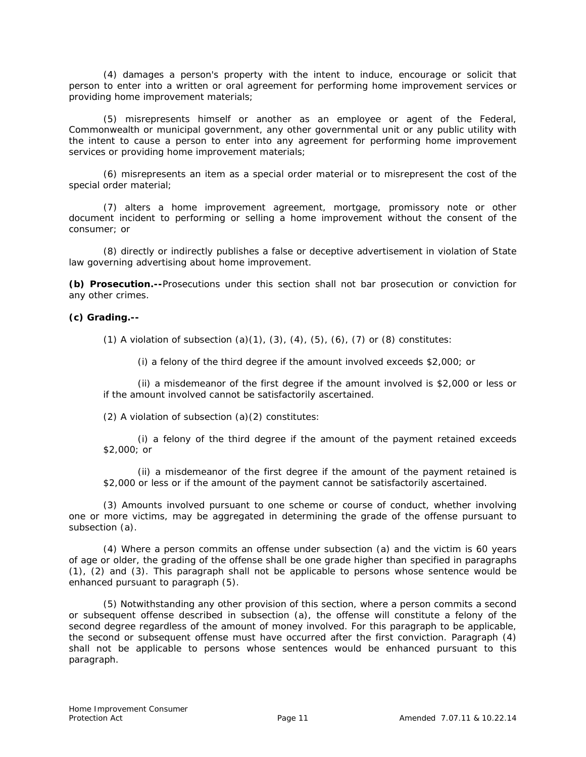(4) damages a person's property with the intent to induce, encourage or solicit that person to enter into a written or oral agreement for performing home improvement services or providing home improvement materials;

(5) misrepresents himself or another as an employee or agent of the Federal, Commonwealth or municipal government, any other governmental unit or any public utility with the intent to cause a person to enter into any agreement for performing home improvement services or providing home improvement materials;

(6) misrepresents an item as a special order material or to misrepresent the cost of the special order material;

(7) alters a home improvement agreement, mortgage, promissory note or other document incident to performing or selling a home improvement without the consent of the consumer; or

(8) directly or indirectly publishes a false or deceptive advertisement in violation of State law governing advertising about home improvement.

**(b) Prosecution.--**Prosecutions under this section shall not bar prosecution or conviction for any other crimes.

#### **(c) Grading.--**

(1) A violation of subsection  $(a)(1)$ ,  $(3)$ ,  $(4)$ ,  $(5)$ ,  $(6)$ ,  $(7)$  or  $(8)$  constitutes:

(i) a felony of the third degree if the amount involved exceeds \$2,000; or

(ii) a misdemeanor of the first degree if the amount involved is \$2,000 or less or if the amount involved cannot be satisfactorily ascertained.

(2) A violation of subsection (a)(2) constitutes:

(i) a felony of the third degree if the amount of the payment retained exceeds \$2,000; or

(ii) a misdemeanor of the first degree if the amount of the payment retained is \$2,000 or less or if the amount of the payment cannot be satisfactorily ascertained.

(3) Amounts involved pursuant to one scheme or course of conduct, whether involving one or more victims, may be aggregated in determining the grade of the offense pursuant to subsection (a).

(4) Where a person commits an offense under subsection (a) and the victim is 60 years of age or older, the grading of the offense shall be one grade higher than specified in paragraphs (1), (2) and (3). This paragraph shall not be applicable to persons whose sentence would be enhanced pursuant to paragraph (5).

(5) Notwithstanding any other provision of this section, where a person commits a second or subsequent offense described in subsection (a), the offense will constitute a felony of the second degree regardless of the amount of money involved. For this paragraph to be applicable, the second or subsequent offense must have occurred after the first conviction. Paragraph (4) shall not be applicable to persons whose sentences would be enhanced pursuant to this paragraph.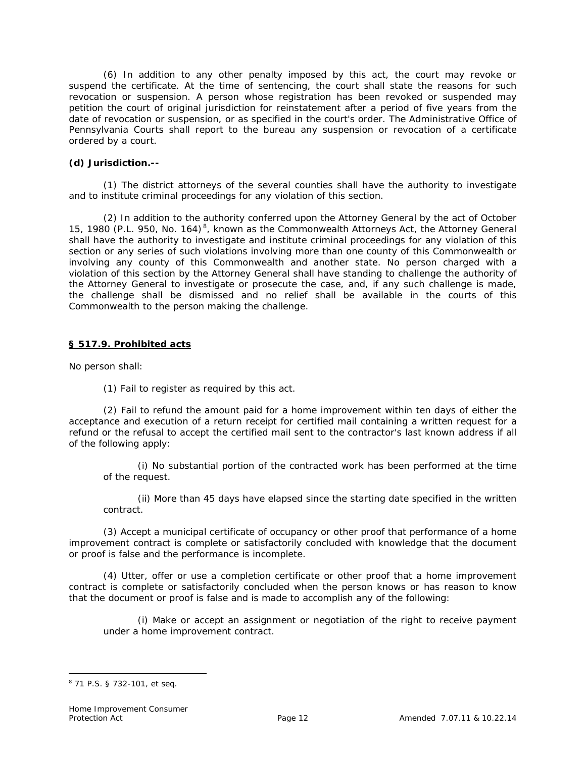(6) In addition to any other penalty imposed by this act, the court may revoke or suspend the certificate. At the time of sentencing, the court shall state the reasons for such revocation or suspension. A person whose registration has been revoked or suspended may petition the court of original jurisdiction for reinstatement after a period of five years from the date of revocation or suspension, or as specified in the court's order. The Administrative Office of Pennsylvania Courts shall report to the bureau any suspension or revocation of a certificate ordered by a court.

## **(d) Jurisdiction.--**

(1) The district attorneys of the several counties shall have the authority to investigate and to institute criminal proceedings for any violation of this section.

(2) In addition to the authority conferred upon the Attorney General by the act of October 15, 1980 (P.L. 950, No. 164)<sup>8</sup>, known as the Commonwealth Attorneys Act, the Attorney General shall have the authority to investigate and institute criminal proceedings for any violation of this section or any series of such violations involving more than one county of this Commonwealth or involving any county of this Commonwealth and another state. No person charged with a violation of this section by the Attorney General shall have standing to challenge the authority of the Attorney General to investigate or prosecute the case, and, if any such challenge is made, the challenge shall be dismissed and no relief shall be available in the courts of this Commonwealth to the person making the challenge.

## **[§ 517.9. Prohibited acts](http://web2.westlaw.com/find/default.wl?tc=-1&docname=LK(%22PS73S517.9%22)&rp=%2ffind%2fdefault.wl&sv=Split&rs=WLW11.10&db=PA-ST-ANN&tf=-1&findtype=l&fn=_top&mt=79&vr=2.0&pbc=2385BF34&ordoc=N337DBFB0C7B511DD96CB9AA31E294984)**

No person shall:

(1) Fail to register as required by this act.

(2) Fail to refund the amount paid for a home improvement within ten days of either the acceptance and execution of a return receipt for certified mail containing a written request for a refund or the refusal to accept the certified mail sent to the contractor's last known address if all of the following apply:

(i) No substantial portion of the contracted work has been performed at the time of the request.

(ii) More than 45 days have elapsed since the starting date specified in the written contract.

(3) Accept a municipal certificate of occupancy or other proof that performance of a home improvement contract is complete or satisfactorily concluded with knowledge that the document or proof is false and the performance is incomplete.

(4) Utter, offer or use a completion certificate or other proof that a home improvement contract is complete or satisfactorily concluded when the person knows or has reason to know that the document or proof is false and is made to accomplish any of the following:

(i) Make or accept an assignment or negotiation of the right to receive payment under a home improvement contract.

<sup>8</sup> 71 P.S. § 732-101, *et seq*.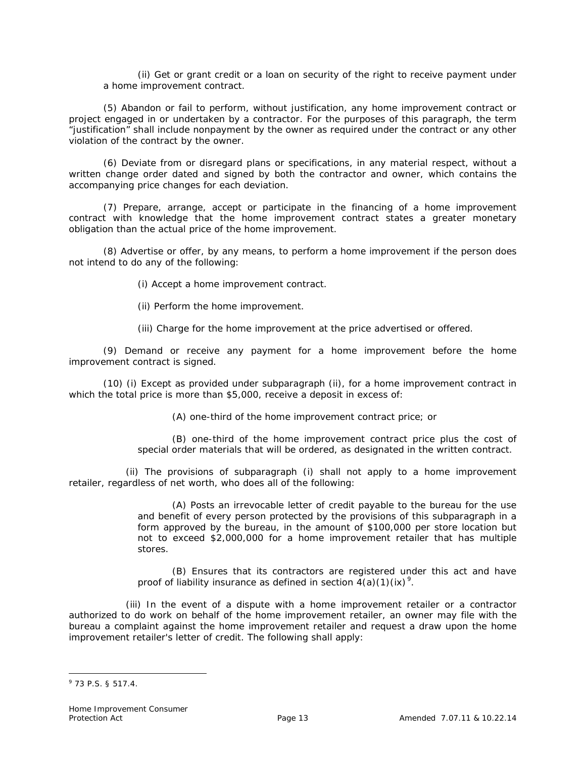(ii) Get or grant credit or a loan on security of the right to receive payment under a home improvement contract.

(5) Abandon or fail to perform, without justification, any home improvement contract or project engaged in or undertaken by a contractor. For the purposes of this paragraph, the term "justification" shall include nonpayment by the owner as required under the contract or any other violation of the contract by the owner.

(6) Deviate from or disregard plans or specifications, in any material respect, without a written change order dated and signed by both the contractor and owner, which contains the accompanying price changes for each deviation.

(7) Prepare, arrange, accept or participate in the financing of a home improvement contract with knowledge that the home improvement contract states a greater monetary obligation than the actual price of the home improvement.

(8) Advertise or offer, by any means, to perform a home improvement if the person does not intend to do any of the following:

(i) Accept a home improvement contract.

(ii) Perform the home improvement.

(iii) Charge for the home improvement at the price advertised or offered.

(9) Demand or receive any payment for a home improvement before the home improvement contract is signed.

(10) (i) Except as provided under subparagraph (ii), for a home improvement contract in which the total price is more than \$5,000, receive a deposit in excess of:

(A) one-third of the home improvement contract price; or

(B) one-third of the home improvement contract price plus the cost of special order materials that will be ordered, as designated in the written contract.

 (ii) The provisions of subparagraph (i) shall not apply to a home improvement retailer, regardless of net worth, who does all of the following:

> (A) Posts an irrevocable letter of credit payable to the bureau for the use and benefit of every person protected by the provisions of this subparagraph in a form approved by the bureau, in the amount of \$100,000 per store location but not to exceed \$2,000,000 for a home improvement retailer that has multiple stores.

> (B) Ensures that its contractors are registered under this act and have proof of liability insurance as defined in section  $4(a)(1)(ix)^9$ .

 (iii) In the event of a dispute with a home improvement retailer or a contractor authorized to do work on behalf of the home improvement retailer, an owner may file with the bureau a complaint against the home improvement retailer and request a draw upon the home improvement retailer's letter of credit. The following shall apply:

 $9$  73 P.S. § 517.4.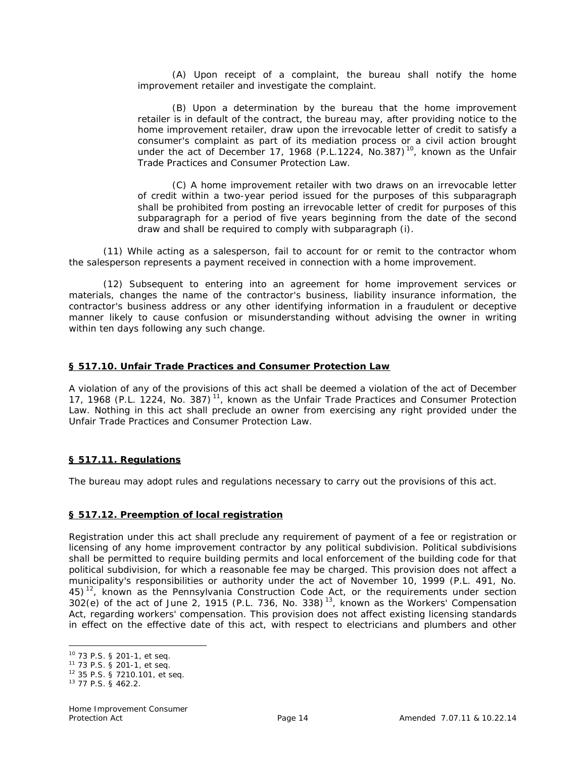(A) Upon receipt of a complaint, the bureau shall notify the home improvement retailer and investigate the complaint.

(B) Upon a determination by the bureau that the home improvement retailer is in default of the contract, the bureau may, after providing notice to the home improvement retailer, draw upon the irrevocable letter of credit to satisfy a consumer's complaint as part of its mediation process or a civil action brought under the act of December 17, 1968 (P.L.1224, No.387)<sup>10</sup>, known as the Unfair Trade Practices and Consumer Protection Law.

(C) A home improvement retailer with two draws on an irrevocable letter of credit within a two-year period issued for the purposes of this subparagraph shall be prohibited from posting an irrevocable letter of credit for purposes of this subparagraph for a period of five years beginning from the date of the second draw and shall be required to comply with subparagraph (i).

(11) While acting as a salesperson, fail to account for or remit to the contractor whom the salesperson represents a payment received in connection with a home improvement.

(12) Subsequent to entering into an agreement for home improvement services or materials, changes the name of the contractor's business, liability insurance information, the contractor's business address or any other identifying information in a fraudulent or deceptive manner likely to cause confusion or misunderstanding without advising the owner in writing within ten days following any such change.

#### **[§ 517.10. Unfair Trade Practices and Consumer Protection Law](http://web2.westlaw.com/find/default.wl?tc=-1&docname=LK(%22PS73S517.10%22)&rp=%2ffind%2fdefault.wl&sv=Split&rs=WLW11.10&db=PA-ST-ANN&tf=-1&findtype=l&fn=_top&mt=79&vr=2.0&pbc=2385BF34&ordoc=N337DBFB0C7B511DD96CB9AA31E294984)**

A violation of any of the provisions of this act shall be deemed a violation of the act of December 17, 1968 (P.L. 1224, No. 387)<sup>11</sup>, known as the Unfair Trade Practices and Consumer Protection Law. Nothing in this act shall preclude an owner from exercising any right provided under the Unfair Trade Practices and Consumer Protection Law.

#### **[§ 517.11. Regulations](http://web2.westlaw.com/find/default.wl?tc=-1&docname=LK(%22PS73S517.11%22)&rp=%2ffind%2fdefault.wl&sv=Split&rs=WLW11.10&db=PA-ST-ANN&tf=-1&findtype=l&fn=_top&mt=79&vr=2.0&pbc=2385BF34&ordoc=N337DBFB0C7B511DD96CB9AA31E294984)**

The bureau may adopt rules and regulations necessary to carry out the provisions of this act.

#### **[§ 517.12. Preemption of local registration](http://web2.westlaw.com/find/default.wl?tc=-1&docname=LK(%22PS73S517.12%22)&rp=%2ffind%2fdefault.wl&sv=Split&rs=WLW11.10&db=PA-ST-ANN&tf=-1&findtype=l&fn=_top&mt=79&vr=2.0&pbc=2385BF34&ordoc=N337DBFB0C7B511DD96CB9AA31E294984)**

Registration under this act shall preclude any requirement of payment of a fee or registration or licensing of any home improvement contractor by any political subdivision. Political subdivisions shall be permitted to require building permits and local enforcement of the building code for that political subdivision, for which a reasonable fee may be charged. This provision does not affect a municipality's responsibilities or authority under the act of November 10, 1999 (P.L. 491, No.  $45$ <sup>12</sup>, known as the Pennsylvania Construction Code Act, or the requirements under section 302(e) of the act of June 2, 1915 (P.L. 736, No. 338) 13, known as the Workers' Compensation Act, regarding workers' compensation. This provision does not affect existing licensing standards in effect on the effective date of this act, with respect to electricians and plumbers and other

l

<sup>10</sup> 73 P.S. § 201-1, *et seq*.

<sup>11</sup> 73 P.S. § 201-1, *et seq*.

<sup>12</sup> 35 P.S. § 7210.101, *et seq*.

<sup>13</sup> 77 P.S. § 462.2.